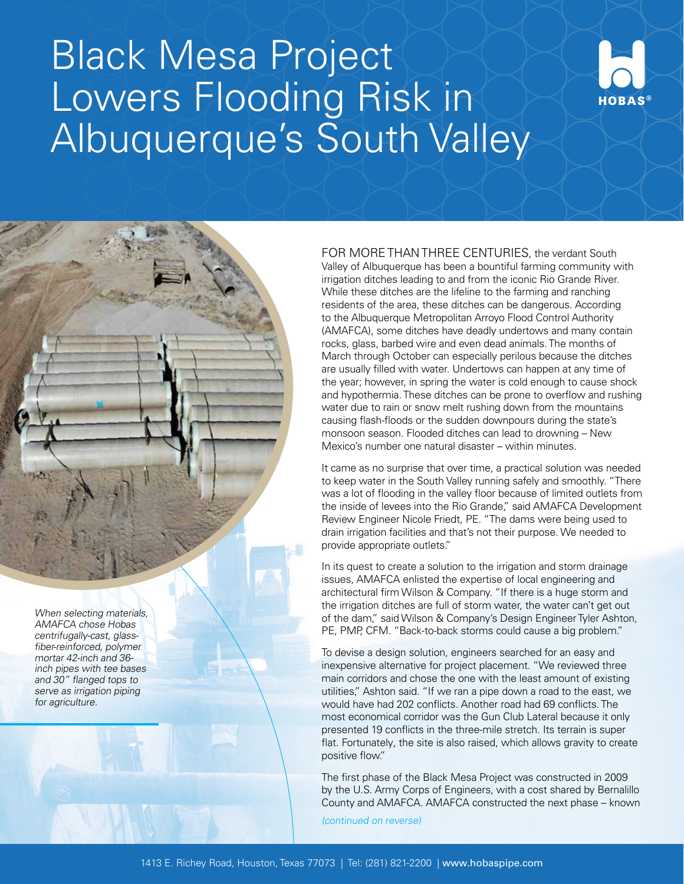## Black Mesa Project Lowers Flooding Risk in Albuquerque's South Valley



FOR MORE THAN THREE CENTURIES, the verdant South Valley of Albuquerque has been a bountiful farming community with irrigation ditches leading to and from the iconic Rio Grande River. While these ditches are the lifeline to the farming and ranching residents of the area, these ditches can be dangerous. According to the Albuquerque Metropolitan Arroyo Flood Control Authority (AMAFCA), some ditches have deadly undertows and many contain rocks, glass, barbed wire and even dead animals. The months of March through October can especially perilous because the ditches are usually filled with water. Undertows can happen at any time of the year; however, in spring the water is cold enough to cause shock and hypothermia. These ditches can be prone to overflow and rushing water due to rain or snow melt rushing down from the mountains causing flash-floods or the sudden downpours during the state's monsoon season. Flooded ditches can lead to drowning – New Mexico's number one natural disaster – within minutes.

It came as no surprise that over time, a practical solution was needed to keep water in the South Valley running safely and smoothly. "There was a lot of flooding in the valley floor because of limited outlets from the inside of levees into the Rio Grande," said AMAFCA Development Review Engineer Nicole Friedt, PE. "The dams were being used to drain irrigation facilities and that's not their purpose. We needed to provide appropriate outlets."

In its quest to create a solution to the irrigation and storm drainage issues, AMAFCA enlisted the expertise of local engineering and architectural firm Wilson & Company. "If there is a huge storm and the irrigation ditches are full of storm water, the water can't get out of the dam," said Wilson & Company's Design Engineer Tyler Ashton, PE, PMP, CFM. "Back-to-back storms could cause a big problem."

To devise a design solution, engineers searched for an easy and inexpensive alternative for project placement. "We reviewed three main corridors and chose the one with the least amount of existing utilities," Ashton said. "If we ran a pipe down a road to the east, we would have had 202 conflicts. Another road had 69 conflicts. The most economical corridor was the Gun Club Lateral because it only presented 19 conflicts in the three-mile stretch. Its terrain is super flat. Fortunately, the site is also raised, which allows gravity to create positive flow."

The first phase of the Black Mesa Project was constructed in 2009 by the U.S. Army Corps of Engineers, with a cost shared by Bernalillo County and AMAFCA. AMAFCA constructed the next phase – known

(continued on reverse)

When selecting materials, AMAFCA chose Hobas centrifugally-cast, glass-

fiber-reinforced, polymer mortar 42-inch and 36 inch pipes with tee bases and 30" flanged tops to serve as irrigation piping for agriculture.